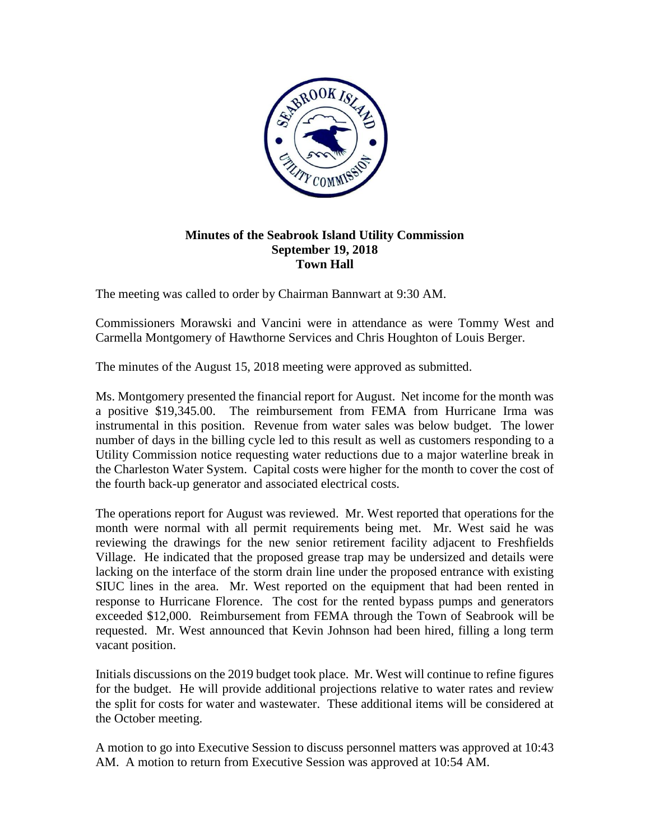

## **Minutes of the Seabrook Island Utility Commission September 19, 2018 Town Hall**

The meeting was called to order by Chairman Bannwart at 9:30 AM.

Commissioners Morawski and Vancini were in attendance as were Tommy West and Carmella Montgomery of Hawthorne Services and Chris Houghton of Louis Berger.

The minutes of the August 15, 2018 meeting were approved as submitted.

Ms. Montgomery presented the financial report for August. Net income for the month was a positive \$19,345.00. The reimbursement from FEMA from Hurricane Irma was instrumental in this position. Revenue from water sales was below budget. The lower number of days in the billing cycle led to this result as well as customers responding to a Utility Commission notice requesting water reductions due to a major waterline break in the Charleston Water System. Capital costs were higher for the month to cover the cost of the fourth back-up generator and associated electrical costs.

The operations report for August was reviewed. Mr. West reported that operations for the month were normal with all permit requirements being met. Mr. West said he was reviewing the drawings for the new senior retirement facility adjacent to Freshfields Village. He indicated that the proposed grease trap may be undersized and details were lacking on the interface of the storm drain line under the proposed entrance with existing SIUC lines in the area. Mr. West reported on the equipment that had been rented in response to Hurricane Florence. The cost for the rented bypass pumps and generators exceeded \$12,000. Reimbursement from FEMA through the Town of Seabrook will be requested. Mr. West announced that Kevin Johnson had been hired, filling a long term vacant position.

Initials discussions on the 2019 budget took place. Mr. West will continue to refine figures for the budget. He will provide additional projections relative to water rates and review the split for costs for water and wastewater. These additional items will be considered at the October meeting.

A motion to go into Executive Session to discuss personnel matters was approved at 10:43 AM. A motion to return from Executive Session was approved at 10:54 AM.